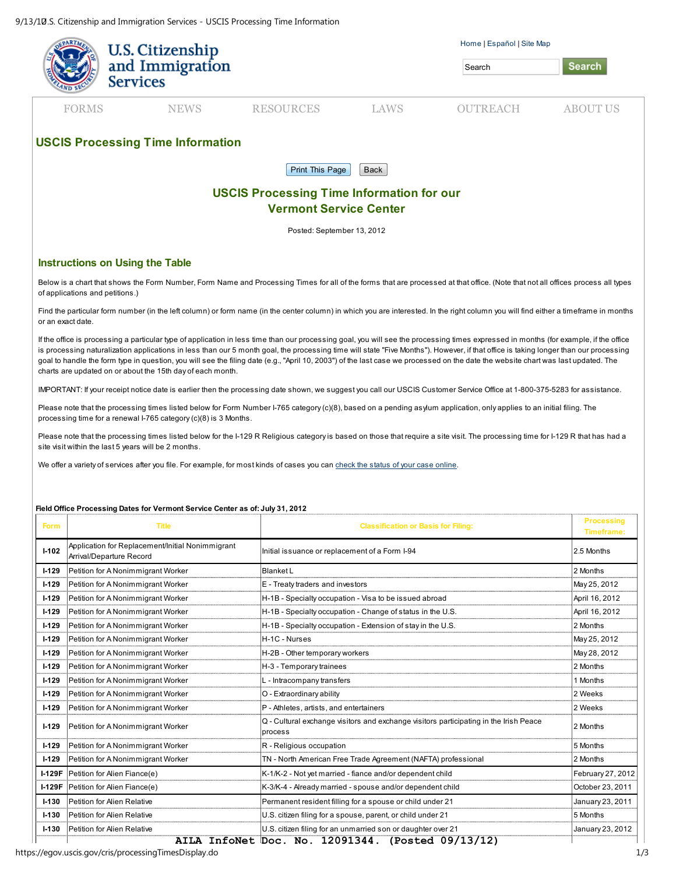9/13/10.S. Citizenship and Immigration Services - USCIS Processing Time Information

|                                                  | U.S. Citizenship                   |                  |      | Home   Español   Site Map |                 |  |  |  |  |
|--------------------------------------------------|------------------------------------|------------------|------|---------------------------|-----------------|--|--|--|--|
|                                                  | and Immigration<br><b>Services</b> |                  |      |                           | <b>Search</b>   |  |  |  |  |
|                                                  |                                    |                  |      |                           |                 |  |  |  |  |
| <b>FORMS</b>                                     | <b>NEWS</b>                        | <b>RESOURCES</b> | LAWS | <b>OUTREACH</b>           | <b>ABOUT US</b> |  |  |  |  |
|                                                  |                                    |                  |      |                           |                 |  |  |  |  |
| <b>USCIS Processing Time Information</b>         |                                    |                  |      |                           |                 |  |  |  |  |
| <b>Print This Page</b><br>Back                   |                                    |                  |      |                           |                 |  |  |  |  |
| <b>USCIS Processing Time Information for our</b> |                                    |                  |      |                           |                 |  |  |  |  |
| <b>Vermont Service Center</b>                    |                                    |                  |      |                           |                 |  |  |  |  |
| Posted: September 13, 2012                       |                                    |                  |      |                           |                 |  |  |  |  |

## Instructions on Using the Table

Below is a chart that shows the Form Number, Form Name and Processing Times for all of the forms that are processed at that office. (Note that not all offices process all types of applications and petitions.)

Find the particular form number (in the left column) or form name (in the center column) in which you are interested. In the right column you will find either a timeframe in months or an exact date.

If the office is processing a particular type of application in less time than our processing goal, you will see the processing times expressed in months (for example, if the office is processing naturalization applications in less than our 5 month goal, the processing time will state "Five Months"). However, if that office is taking longer than our processing goal to handle the form type in question, you will see the filing date (e.g., "April 10, 2003") of the last case we processed on the date the website chart was last updated. The charts are updated on or about the 15th day of each month.

IMPORTANT: If your receipt notice date is earlier then the processing date shown, we suggest you call our USCIS Customer Service Office at 1-800-375-5283 for assistance.

Please note that the processing times listed below for Form Number I-765 category (c)(8), based on a pending asylum application, only applies to an initial filing. The processing time for a renewal I-765 category (c)(8) is 3 Months.

Please note that the processing times listed below for the I-129 R Religious category is based on those that require a site visit. The processing time for I-129 R that has had a site visit within the last 5 years will be 2 months.

We offer a variety of services after you file. For example, for most kinds of cases you can check the status of your case online.

## Field Office Processing Dates for Vermont Service Center as of: July 31, 2012

| <b>Form</b> | <b>Title</b>                                                                 | <b>Classification or Basis for Filing:</b>                                                       | <b>Processing</b><br><b>Timeframe:</b> |
|-------------|------------------------------------------------------------------------------|--------------------------------------------------------------------------------------------------|----------------------------------------|
| $1 - 102$   | Application for Replacement/Initial Nonimmigrant<br>Arrival/Departure Record | Initial issuance or replacement of a Form I-94                                                   | 2.5 Months                             |
| $1 - 129$   | Petition for A Nonimmigrant Worker                                           | <b>Blanket L</b>                                                                                 | 2 Months                               |
| $I-129$     | Petition for A Nonimmigrant Worker                                           | E - Treaty traders and investors                                                                 | May 25, 2012                           |
| $1 - 129$   | Petition for A Nonimmigrant Worker                                           | H-1B - Specialty occupation - Visa to be issued abroad                                           | April 16, 2012                         |
| $1 - 129$   | Petition for A Nonimmigrant Worker                                           | H-1B - Specialty occupation - Change of status in the U.S.                                       | April 16, 2012                         |
| $1 - 129$   | Petition for A Nonimmigrant Worker                                           | H-1B - Specialty occupation - Extension of stay in the U.S.                                      | 2 Months                               |
| $I-129$     | Petition for A Nonimmigrant Worker                                           | H-1C - Nurses                                                                                    | May 25, 2012                           |
| $I-129$     | Petition for A Nonimmigrant Worker                                           | H-2B - Other temporary workers                                                                   | May 28, 2012                           |
| $1 - 129$   | Petition for A Nonimmigrant Worker                                           | H-3 - Temporary trainees                                                                         | 2 Months                               |
| $1 - 129$   | Petition for A Nonimmigrant Worker                                           | L - Intracompany transfers                                                                       | 1 Months                               |
| $1 - 129$   | Petition for A Nonimmigrant Worker                                           | O - Extraordinary ability                                                                        | 2 Weeks                                |
| $1 - 129$   | Petition for A Nonimmigrant Worker                                           | P - Athletes, artists, and entertainers                                                          | 2 Weeks                                |
| $I-129$     | Petition for A Nonimmigrant Worker                                           | Q - Cultural exchange visitors and exchange visitors participating in the Irish Peace<br>process | 2 Months                               |
| $1 - 129$   | Petition for A Nonimmigrant Worker                                           | R - Religious occupation                                                                         | 5 Months                               |
| $I-129$     | Petition for A Nonimmigrant Worker                                           | TN - North American Free Trade Agreement (NAFTA) professional                                    | 2 Months                               |
| $I-129F$    | Petition for Alien Fiance(e)                                                 | K-1/K-2 - Not yet married - fiance and/or dependent child                                        | February 27, 2012                      |
| $I-129F$    | Petition for Alien Fiance(e)                                                 | K-3/K-4 - Already married - spouse and/or dependent child                                        | October 23, 2011                       |
| $1 - 130$   | Petition for Alien Relative                                                  | Permanent resident filling for a spouse or child under 21                                        | January 23, 2011                       |
| $I - 130$   | Petition for Alien Relative                                                  | U.S. citizen filing for a spouse, parent, or child under 21                                      | 5 Months                               |
| $I - 130$   | Petition for Alien Relative                                                  | U.S. citizen filing for an unmarried son or daughter over 21                                     | January 23, 2012                       |
|             |                                                                              | $\ddot{\phantom{a}}$<br>.                                                                        |                                        |

**AILA InfoNet Doc. No. 12091344. (Posted 09/13/12)**

https://egov.uscis.gov/cris/processingTimesDisplay.do 1/3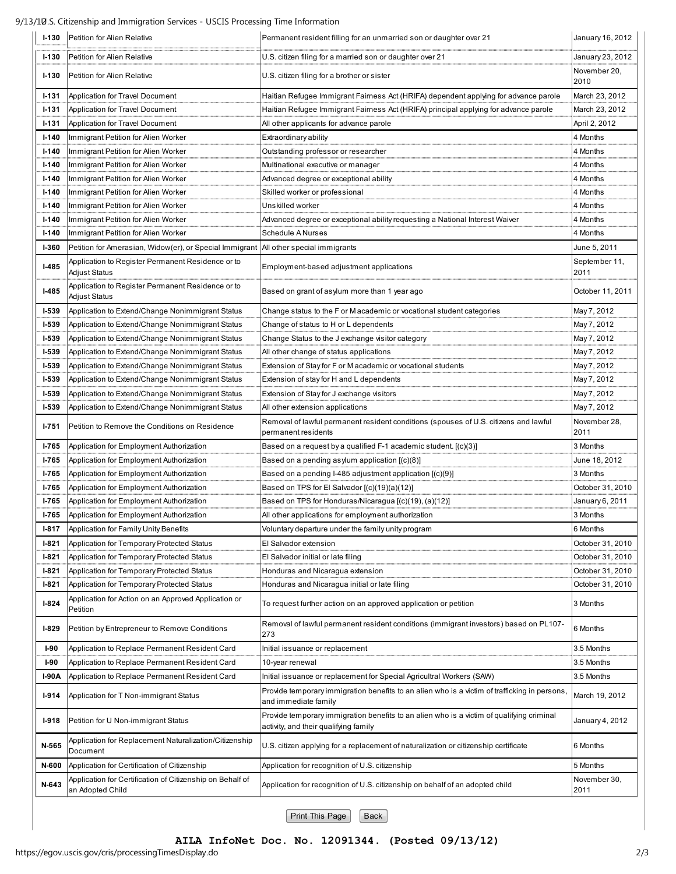9/13/10.S. Citizenship and Immigration Services - USCIS Processing Time Information

| $I-130$      | Petition for Alien Relative                                                            | Permanent resident filling for an unmarried son or daughter over 21                                                                | January 16, 2012      |
|--------------|----------------------------------------------------------------------------------------|------------------------------------------------------------------------------------------------------------------------------------|-----------------------|
| $1 - 130$    | Petition for Alien Relative                                                            | U.S. citizen filing for a married son or daughter over 21                                                                          | January 23, 2012      |
| $I-130$      | Petition for Alien Relative                                                            | U.S. citizen filing for a brother or sister                                                                                        | November 20,<br>2010  |
| <b>I-131</b> | Application for Travel Document                                                        | Haitian Refugee Immigrant Fairness Act (HRIFA) dependent applying for advance parole                                               | March 23, 2012        |
| $1 - 131$    | Application for Travel Document                                                        | Haitian Refugee Immigrant Fairness Act (HRIFA) principal applying for advance parole                                               | March 23, 2012        |
| <b>I-131</b> | Application for Travel Document                                                        | All other applicants for advance parole                                                                                            | April 2, 2012         |
| $I - 140$    | Immigrant Petition for Alien Worker                                                    | Extraordinary ability                                                                                                              | 4 Months              |
| $I-140$      | Immigrant Petition for Alien Worker                                                    | Outstanding professor or researcher                                                                                                | 4 Months              |
| $I-140$      | Immigrant Petition for Alien Worker                                                    | Multinational executive or manager                                                                                                 | 4 Months              |
| $I-140$      | Immigrant Petition for Alien Worker                                                    | Advanced degree or exceptional ability                                                                                             | 4 Months              |
| $I-140$      | Immigrant Petition for Alien Worker                                                    | Skilled worker or professional                                                                                                     | 4 Months              |
| $I - 140$    | Immigrant Petition for Alien Worker                                                    | Unskilled worker                                                                                                                   | 4 Months              |
| $I - 140$    | Immigrant Petition for Alien Worker                                                    | Advanced degree or exceptional ability requesting a National Interest Waiver                                                       | 4 Months              |
| $I-140$      | Immigrant Petition for Alien Worker                                                    | <b>Schedule A Nurses</b>                                                                                                           | 4 Months              |
| <b>I-360</b> | Petition for Amerasian, Widow(er), or Special Immigrant   All other special immigrants |                                                                                                                                    | June 5, 2011          |
| $I-485$      | Application to Register Permanent Residence or to<br>Adjust Status                     | Employment-based adjustment applications                                                                                           | September 11,<br>2011 |
| $I-485$      | Application to Register Permanent Residence or to<br>Adjust Status                     | Based on grant of asylum more than 1 year ago                                                                                      | October 11, 2011      |
| $I-539$      | Application to Extend/Change Nonimmigrant Status                                       | Change status to the F or M academic or vocational student categories                                                              | May 7, 2012           |
| $I-539$      | Application to Extend/Change Nonimmigrant Status                                       | Change of status to H or L dependents                                                                                              | May 7, 2012           |
| $1 - 539$    | Application to Extend/Change Nonimmigrant Status                                       | Change Status to the J exchange visitor category                                                                                   | May 7, 2012           |
| $1 - 539$    | Application to Extend/Change Nonimmigrant Status                                       | All other change of status applications                                                                                            | May 7, 2012           |
| $1 - 539$    | Application to Extend/Change Nonimmigrant Status                                       | Extension of Stay for F or Macademic or vocational students                                                                        | May 7, 2012           |
| $I-539$      | Application to Extend/Change Nonimmigrant Status                                       | Extension of stay for H and L dependents                                                                                           | May 7, 2012           |
| <b>I-539</b> | Application to Extend/Change Nonimmigrant Status                                       | Extension of Stay for J exchange visitors                                                                                          | May 7, 2012           |
| $I-539$      | Application to Extend/Change Nonimmigrant Status                                       | All other extension applications                                                                                                   | May 7, 2012           |
| <b>I-751</b> | Petition to Remove the Conditions on Residence                                         | Removal of lawful permanent resident conditions (spouses of U.S. citizens and lawful<br>permanent residents                        | November 28,<br>2011  |
| I-765        | Application for Employment Authorization                                               | Based on a request by a qualified F-1 academic student. [(c)(3)]                                                                   | 3 Months              |
| I-765        | Application for Employment Authorization                                               | Based on a pending asylum application $[(c)(8)]$                                                                                   | June 18, 2012         |
| $I - 765$    | Application for Employment Authorization                                               | Based on a pending I-485 adjustment application [(c)(9)]                                                                           | 3 Months              |
| I-765        | Application for Employment Authorization                                               | Based on TPS for El Salvador [(c)(19)(a)(12)]                                                                                      | October 31, 2010      |
| $I - 765$    | Application for Employment Authorization                                               | Based on TPS for Honduras/Nicaragua [(c)(19), (a)(12)]                                                                             | January 6, 2011       |
| $I - 765$    | Application for Employment Authorization                                               | All other applications for employment authorization                                                                                | 3 Months              |
| $I-817$      | Application for Family Unity Benefits                                                  | Voluntary departure under the family unity program                                                                                 | 6 Months              |
| $I-821$      | Application for Temporary Protected Status                                             | El Salvador extension                                                                                                              | October 31, 2010      |
| $I-821$      | Application for Temporary Protected Status                                             | El Salvador initial or late filing                                                                                                 | October 31, 2010      |
| $I-821$      | Application for Temporary Protected Status                                             | Honduras and Nicaragua extension                                                                                                   | October 31, 2010      |
| $1 - 821$    | Application for Temporary Protected Status                                             | Honduras and Nicaragua initial or late filing                                                                                      | October 31, 2010      |
| $I-824$      | Application for Action on an Approved Application or<br>Petition                       | To request further action on an approved application or petition                                                                   | 3 Months              |
| $I-829$      | Petition by Entrepreneur to Remove Conditions                                          | Removal of lawful permanent resident conditions (immigrant investors) based on PL107-<br>273                                       | 6 Months              |
| $I-90$       | Application to Replace Permanent Resident Card                                         | Initial issuance or replacement                                                                                                    | 3.5 Months            |
| $I-90$       | Application to Replace Permanent Resident Card                                         | 10-year renewal                                                                                                                    | 3.5 Months            |
| 1-90A        | Application to Replace Permanent Resident Card                                         | Initial issuance or replacement for Special Agricultral Workers (SAW)                                                              | 3.5 Months            |
| $I-914$      | Application for T Non-immigrant Status                                                 | Provide temporary immigration benefits to an alien who is a victim of trafficking in persons,<br>and immediate family              | March 19, 2012        |
| $I-918$      | Petition for U Non-immigrant Status                                                    | Provide temporary immigration benefits to an alien who is a victim of qualifying criminal<br>activity, and their qualifying family | January 4, 2012       |
| N-565        | Application for Replacement Naturalization/Citizenship<br>Document                     | U.S. citizen applying for a replacement of naturalization or citizenship certificate                                               | 6 Months              |
| N-600        | Application for Certification of Citizenship                                           | Application for recognition of U.S. citizenship                                                                                    | 5 Months              |
| N-643        | Application for Certification of Citizenship on Behalf of<br>an Adopted Child          | Application for recognition of U.S. citizenship on behalf of an adopted child                                                      | November 30,<br>2011  |

Print This Page | Back